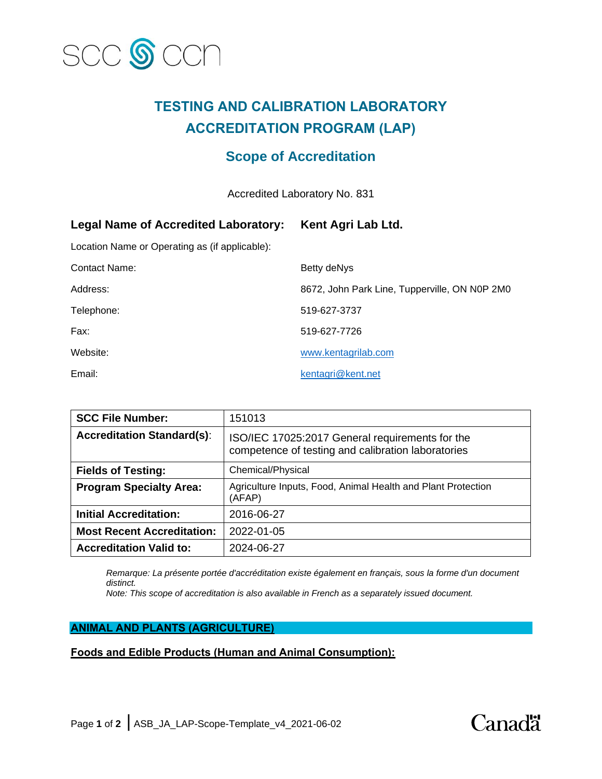

# **TESTING AND CALIBRATION LABORATORY ACCREDITATION PROGRAM (LAP)**

## **Scope of Accreditation**

Accredited Laboratory No. 831

| <b>Legal Name of Accredited Laboratory:</b>    | Kent Agri Lab Ltd.                            |
|------------------------------------------------|-----------------------------------------------|
| Location Name or Operating as (if applicable): |                                               |
| <b>Contact Name:</b>                           | Betty deNys                                   |
| Address:                                       | 8672, John Park Line, Tupperville, ON N0P 2M0 |
| Telephone:                                     | 519-627-3737                                  |
| Fax:                                           | 519-627-7726                                  |
| Website:                                       | www.kentagrilab.com                           |
| Email:                                         | kentagri@kent.net                             |

| <b>SCC File Number:</b>           | 151013                                                                                                |
|-----------------------------------|-------------------------------------------------------------------------------------------------------|
| <b>Accreditation Standard(s):</b> | ISO/IEC 17025:2017 General requirements for the<br>competence of testing and calibration laboratories |
| <b>Fields of Testing:</b>         | Chemical/Physical                                                                                     |
| <b>Program Specialty Area:</b>    | Agriculture Inputs, Food, Animal Health and Plant Protection<br>(AFAP)                                |
| <b>Initial Accreditation:</b>     | 2016-06-27                                                                                            |
| <b>Most Recent Accreditation:</b> | 2022-01-05                                                                                            |
| <b>Accreditation Valid to:</b>    | 2024-06-27                                                                                            |

*Remarque: La présente portée d'accréditation existe également en français, sous la forme d'un document distinct.*

*Note: This scope of accreditation is also available in French as a separately issued document.*

#### **ANIMAL AND PLANTS (AGRICULTURE)**

### **Foods and Edible Products (Human and Animal Consumption):**